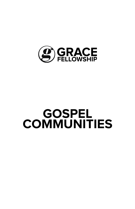

# **GOSPEL COMMUNITIES**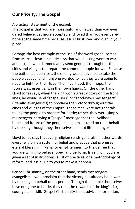## **Our Priority: The Gospel**

A practical statement of the gospel:

The gospel is that you are more sinful and flawed than you ever dared believe, yet more accepted and loved than you ever dared hope at the same time because Jesus Christ lived and died in your place.

Perhaps the best example of the use of the word gospel comes from Martin Lloyd Jones. He says that when a king went to war and lost, he would immediately send generals throughout the cities and villages to prepare the common people for war. Because the battle had been lost, the enemy would advance to take the people captive, and if anyone wanted to live they were going to need to fight for their lives. Their livelihood, their hope, their future was, essentially, in their own hands. On the other hand, Lloyd Jones says, when the king won a great victory on the front lines, he would send "gospelisers" or "good-news messengers" (literally, evangelists!) to proclaim the victory throughout the cities and villages of the Empire. These men were not generals telling the people to prepare for battle; rather, they were simply messengers, carrying a "gospel" message that the livelihood, hope, and future of the people had been secured on their behalf by the king, though they themselves had not lifted a finger!

Lloyd Jones says that every religion sends generals; in other words, every religion is a system of belief and practice that promises eternal blessing, nirvana, or enlightenment to the degree that you are willing to believe, obey, and perform. In religion, you are given a set of instructions, a list of practices, or a methodology of reform, and it is all up to you to make it happen.

Gospel Christianity, on the other hand, sends messengers – evangelists – who proclaim that the victory has already been won by the king on behalf of his people. Though the people themselves have not gone to battle, they reap the rewards of the king's risk, courage, and skill. Gospel Christianity is not advice, information,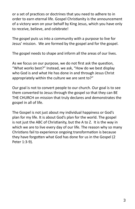or a set of practices or doctrines that you need to adhere to in order to earn eternal life. Gospel Christianity is the announcement of a victory won on your behalf by King Jesus, which you have only to receive, believe, and celebrate!

The gospel puts us into a community with a purpose to live for Jesus' mission. We are formed by the gospel and for the gospel.

The gospel needs to shape and inform all the areas of our lives.

As we focus on our purpose, we do not first ask the question, "What works best?" Instead, we ask, "How do we best display who God is and what He has done in and through Jesus Christ appropriately within the culture we are sent to?"

Our goal is not to convert people to our church. Our goal is to see them converted to Jesus through the gospel so that they can BE THE CHURCH on mission that truly declares and demonstrates the gospel in all of life.

The Gospel is not just about my individual happiness or God's plan for my life. It is about God's plan for the world. The gospel is not just the ABC of Christianity, but the A to Z. It is the way in which we are to live every day of our life. The reason why so many Christians fail to experience ongoing transformation is because they have forgotten what God has done for us in the Gospel (2 Peter 1:3-9).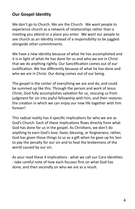## **Our Gospel Identity**

We don't go to Church. We are the Church. We want people to experience church as a network of relationships rather than a meeting you attend or a place you enter. We want our people to see church as an identity instead of a responsibility to be juggled alongside other commitments.

We have a new identity because of what He has accomplished and it is in light of what He has done for us and who we are in Christ that we do anything rightly. Our Sanctification comes out of our Justification. We live differently because of what he has done and who we are in Christ. Our doing comes out of our being.

The gospel is the center of everything we are and do, and could be summed up like this: Through the person and work of Jesus Christ, God fully accomplishes salvation for us, rescuing us from judgment for sin into joyful fellowship with him, and then restores the creation in which we can enjoy our new life together with him forever!

This radical reality has 4 specific implications for who we are as God's Church. Each of these implications flows directly from what God has done for us in the gospel. As Christians, we don't do anything to earn God's love, favor, blessing, or forgiveness; rather, God has given those things to us as a gift when he gave up his Son to pay the penalty for our sin and to heal the brokenness of the world caused by our sin.

As your read these 4 implications - what we call our Core Identities - take careful note of how each focuses first on what God has done, and then secondly on who we are as a result.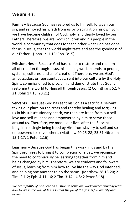## **We are His:**

**Family** – Because God has restored us to himself, forgiven our sin, and removed his wrath from us by placing it on his own Son, we have become children of God, holy, and dearly loved by our Father! Therefore, we are God's children and his people in the world, a community that does for each other what God has done for us in Jesus, that the world might taste and see the goodness of our Father. (John 1:11-13; Eph. 3:15)

**Missionaries** – Because God has come to restore and redeem all of creation through Jesus, his healing work extends to people, systems, cultures, and all of creation! Therefore, we are God's ambassadors or representatives, sent into our culture by the Holy Spirit, commissioned to proclaim and demonstrate that God is restoring the world to Himself through Jesus. (2 Corinthians 5:17- 21; John 17:18; 20:21)

**Servants** – Because God has sent his Son as a sacrificial servant, taking our place on the cross and thereby healing and forgiving us in his substitutionary death, we then are freed from our selflove and self-reliance and empowered by him to serve those around us. Therefore, we model our lives after the Servant-King, increasingly being freed by Him from slavery to self and so empowered to serve others. (Matthew 20:25-28; 25:31-46; John 13:1-17; 1 Peter 2:16)

**Learners** – Because God has begun this work in us and by His Spirit promises to bring it to completion one day, we recognize the need to continuously be learning together from him and being changed by him. Therefore, we are students and followers of Jesus, learning from him how to live life the way God intended, and helping one another to do the same. (Matthew 28:18-20; 2 Tim. 2:1-2; Eph. 4:11-16; 2 Tim. 3:14 - 4:5; 2 Peter 3:18)

*We are a family of God sent on mission to serve our world and continually learn how to live in the way of Jesus so that the joy of the gospel fills our city and beyond!*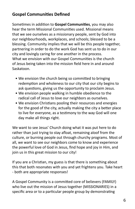# **Gospel Communities Defined**

Sometimes in addition to **Gospel Communities**, you may also hear the term Missional Communities used. Missional means that we see ourselves as a missionary people, sent by God into our neighbourhoods, workplaces, and schools; blessed to be a blessing. Community implies that we will be this people together, partnering in order to do the work God has sent us to do in our city and lovingly caring for one another in the process. What we envision with our Gospel Communities is the church of Jesus being taken into the mission field here in and around Saskatoon.

- We envision the church being so committed to bringing redemption and wholeness to our city that our city begins to ask questions, giving us the opportunity to proclaim Jesus.
- We envision people walking in humble obedience to the radical call of Jesus to love our neighbors as ourselves.
- We envision Christians pooling their resources and energies for the good of the city, actually making the city a better place to live for everyone, as a testimony to the way God will one day make all things right.

We want to see Jesus' Church doing what it was put here to do rather than just trying to stay afloat, remaining aloof from the culture, or burning people out through churchy programs. Most of all, we want to see our neighbors come to know and experience the powerful love of God in Jesus, find hope and joy in Him, and join us in this great mission to our city!

If you are a Christian, my guess is that there is something about this that both resonates with you and yet frightens you. Take heart - both are appropriate responses!

A Gospel Community is a committed core of believers (FAMILY) who live out the mission of Jesus together (MISSIONARIES) in a specific area or to a particular people group by demonstrating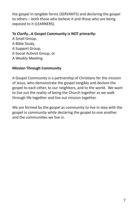the gospel in tangible forms (SERVANTS) and declaring the gospel to others – both those who believe it and those who are being exposed to it (LEARNERS).

## **To Clarify…A Gospel Community is NOT primarily:**

A Small Group, A Bible Study, A Support Group, A Social Activist Group, or A Weekly Meeting

### **Mission Through Community**

A Gospel Community is a partnership of Christians for the mission of Jesus, who demonstrate the gospel tangibly and declare the gospel to each other, to our neighbors, and to the world. We want to live out the reality of being the Church together as we walk through life together and live out mission together.

We are formed by the gospel as community to live in step with the gospel in community while declaring the gospel to one another and the communities we live in.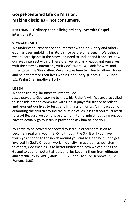## **Gospel-centered Life on Mission: Making disciples – not consumers.**

#### **RHYTHMS — Ordinary people living ordinary lives with Gospel intentionality**

#### **STORY-FORMED**

We understand, experience and intersect with God's Story and others'. God has been unfolding his Story since before time began. We believe we are participants in the Story and need to understand it and see how our lives intersect with it. Therefore, we regularly reacquaint ourselves with the Story by interacting with God's Word. We look for ways and times to tell the Story often. We also take time to listen to others stories and help them find their lives within God's Story. (Genesis 1:1-2; John 1:1; Psalm 1; 2 Timothy 3:16-17)

#### **LISTEN**

We set aside regular times to listen to God

Jesus prayed to God seeking to know his Father's will. We are also called to set aside time to commune with God in prayerful silence to reflect and re-orient our lives to Jesus and His mission for us. An implication of organizing the church around the Mission of Jesus is that you must learn to pray! Because we don't have a ton of internal ministries going on, you have to actually go to Jesus in prayer and ask him to lead you.

You have to be actively connected to Jesus in order for mission to become a reality in your life. Only through the Spirit will you have your eyes opened to the needs around you and begin to be able to get involved in God's Kingdom work in our city. In addition as we listen to others, God enables us to better understand how we can bring the Gospel to bear on potential idols and lies keeping them from ultimate and eternal joy in God. (Mark 1:35-37; John 16:7-15; Hebrews 1:1-3; Romans 1:20)